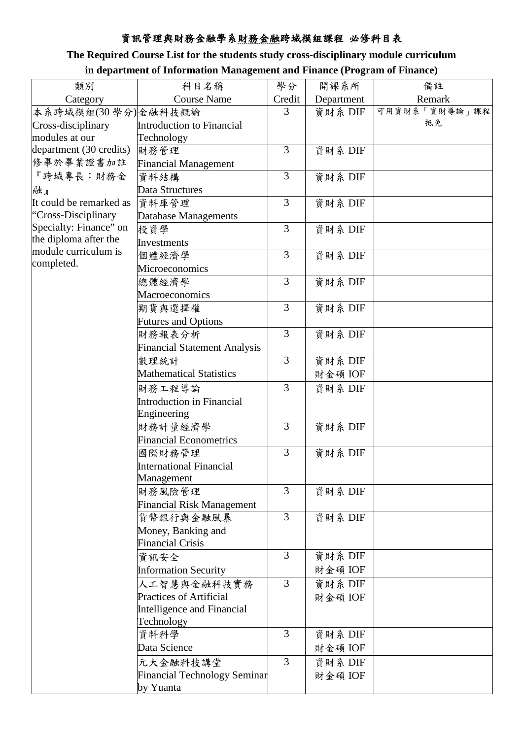## 資訊管理與財務金融學系財務金融跨域模組課程 必修科目表

## **The Required Course List for the students study cross-disciplinary module curriculum**

| in department of Information Management and Finance (Program of Finance) |  |
|--------------------------------------------------------------------------|--|
|                                                                          |  |

| 學分<br>開課系所<br>類別<br>科目名稱<br>備註                                   |  |
|------------------------------------------------------------------|--|
| <b>Course Name</b><br>Remark<br>Credit<br>Category<br>Department |  |
| 可用資財系「資財導論」課程<br>資財系 DIF<br>本系跨域模組(30學分)金融科技概論<br>3              |  |
| 抵免<br>Introduction to Financial<br>Cross-disciplinary            |  |
| modules at our<br>Technology                                     |  |
| department (30 credits)<br>3<br>資財系 DIF<br>財務管理                  |  |
| 修畢於畢業證書加註<br><b>Financial Management</b>                         |  |
| 『跨域專長:財務金<br>3<br>資財系 DIF<br>資料結構                                |  |
| Data Structures<br>融』                                            |  |
| 3<br>資財系 DIF<br>It could be remarked as<br>資料庫管理                 |  |
| "Cross-Disciplinary<br>Database Managements                      |  |
| Specialty: Finance" on<br>3<br>資財系 DIF<br>投資學                    |  |
| the diploma after the<br>Investments                             |  |
| module curriculum is<br>3<br>資財系 DIF<br>個體經濟學                    |  |
| completed.<br>Microeconomics                                     |  |
| 3<br>資財系 DIF<br>總體經濟學                                            |  |
| Macroeconomics                                                   |  |
| 3<br>資財系 DIF<br>期貨與選擇權                                           |  |
| <b>Futures and Options</b>                                       |  |
| 3<br>資財系 DIF<br>財務報表分析                                           |  |
| <b>Financial Statement Analysis</b>                              |  |
| 3<br>資財系 DIF<br>數理統計                                             |  |
| <b>Mathematical Statistics</b><br>財金碩 IOF                        |  |
| 3<br>資財系 DIF<br>財務工程導論                                           |  |
| Introduction in Financial                                        |  |
| Engineering                                                      |  |
| $\overline{3}$<br>資財系 DIF<br>財務計量經濟學                             |  |
| <b>Financial Econometrics</b>                                    |  |
| 3<br>資財系 DIF<br>國際財務管理                                           |  |
| <b>International Financial</b>                                   |  |
| Management                                                       |  |
| 3<br>資財系 DIF<br>財務風險管理                                           |  |
| <b>Financial Risk Management</b>                                 |  |
| 3<br>資財系 DIF<br>貨幣銀行與金融風暴                                        |  |
| Money, Banking and                                               |  |
| <b>Financial Crisis</b>                                          |  |
| 3<br>資財系 DIF<br>資訊安全                                             |  |
| <b>Information Security</b><br>財金碩 IOF                           |  |
| 3<br>資財系 DIF<br>人工智慧與金融科技實務                                      |  |
| <b>Practices of Artificial</b><br>財金碩 IOF                        |  |
| Intelligence and Financial                                       |  |
| Technology                                                       |  |
| 3<br>資財系 DIF<br>資料科學                                             |  |
| Data Science<br>財金碩 IOF                                          |  |
| 3<br>資財系 DIF<br>元大金融科技講堂                                         |  |
| Financial Technology Seminar<br>財金碩 IOF                          |  |
| by Yuanta                                                        |  |